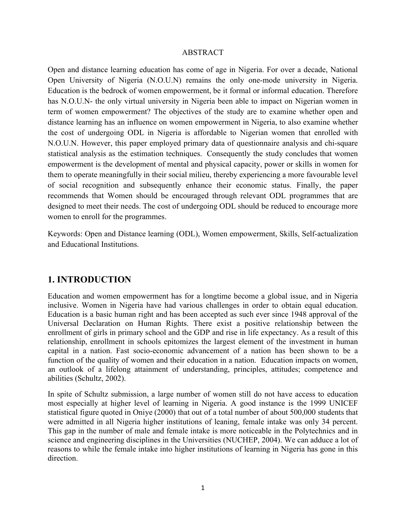#### ABSTRACT

Open and distance learning education has come of age in Nigeria. For over a decade, National Open University of Nigeria (N.O.U.N) remains the only one-mode university in Nigeria. Education is the bedrock of women empowerment, be it formal or informal education. Therefore has N.O.U.N- the only virtual university in Nigeria been able to impact on Nigerian women in term of women empowerment? The objectives of the study are to examine whether open and distance learning has an influence on women empowerment in Nigeria, to also examine whether the cost of undergoing ODL in Nigeria is affordable to Nigerian women that enrolled with N.O.U.N. However, this paper employed primary data of questionnaire analysis and chi-square statistical analysis as the estimation techniques. Consequently the study concludes that women empowerment is the development of mental and physical capacity, power or skills in women for them to operate meaningfully in their social milieu, thereby experiencing a more favourable level of social recognition and subsequently enhance their economic status. Finally, the paper recommends that Women should be encouraged through relevant ODL programmes that are designed to meet their needs. The cost of undergoing ODL should be reduced to encourage more women to enroll for the programmes.

Keywords: Open and Distance learning (ODL), Women empowerment, Skills, Self-actualization and Educational Institutions.

## **1. INTRODUCTION**

Education and women empowerment has for a longtime become a global issue, and in Nigeria inclusive. Women in Nigeria have had various challenges in order to obtain equal education. Education is a basic human right and has been accepted as such ever since 1948 approval of the Universal Declaration on Human Rights. There exist a positive relationship between the enrollment of girls in primary school and the GDP and rise in life expectancy. As a result of this relationship, enrollment in schools epitomizes the largest element of the investment in human capital in a nation. Fast socio-economic advancement of a nation has been shown to be a function of the quality of women and their education in a nation. Education impacts on women, an outlook of a lifelong attainment of understanding, principles, attitudes; competence and abilities (Schultz, 2002).

In spite of Schultz submission, a large number of women still do not have access to education most especially at higher level of learning in Nigeria. A good instance is the 1999 UNICEF statistical figure quoted in Oniye (2000) that out of a total number of about 500,000 students that were admitted in all Nigeria higher institutions of leaning, female intake was only 34 percent. This gap in the number of male and female intake is more noticeable in the Polytechnics and in science and engineering disciplines in the Universities (NUCHEP, 2004). We can adduce a lot of reasons to while the female intake into higher institutions of learning in Nigeria has gone in this direction.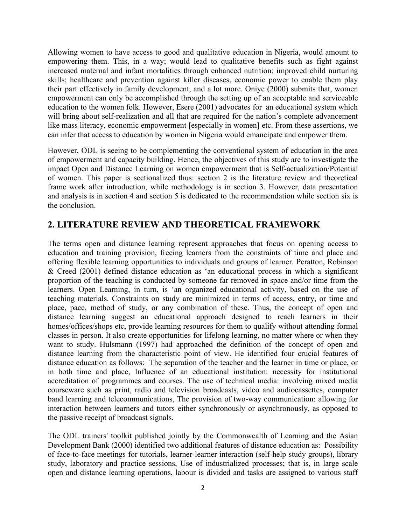Allowing women to have access to good and qualitative education in Nigeria, would amount to empowering them. This, in a way; would lead to qualitative benefits such as fight against increased maternal and infant mortalities through enhanced nutrition; improved child nurturing skills; healthcare and prevention against killer diseases, economic power to enable them play their part effectively in family development, and a lot more. Oniye (2000) submits that, women empowerment can only be accomplished through the setting up of an acceptable and serviceable education to the women folk. However, Esere (2001) advocates for an educational system which will bring about self-realization and all that are required for the nation's complete advancement like mass literacy, economic empowerment [especially in women] etc. From these assertions, we can infer that access to education by women in Nigeria would emancipate and empower them.

However, ODL is seeing to be complementing the conventional system of education in the area of empowerment and capacity building. Hence, the objectives of this study are to investigate the impact Open and Distance Learning on women empowerment that is Self-actualization/Potential of women. This paper is sectionalized thus: section 2 is the literature review and theoretical frame work after introduction, while methodology is in section 3. However, data presentation and analysis is in section 4 and section 5 is dedicated to the recommendation while section six is the conclusion.

## **2. LITERATURE REVIEW AND THEORETICAL FRAMEWORK**

The terms open and distance learning represent approaches that focus on opening access to education and training provision, freeing learners from the constraints of time and place and offering flexible learning opportunities to individuals and groups of learner. Peratton, Robinson & Creed (2001) defined distance education as 'an educational process in which a significant proportion of the teaching is conducted by someone far removed in space and/or time from the learners. Open Learning, in turn, is 'an organized educational activity, based on the use of teaching materials. Constraints on study are minimized in terms of access, entry, or time and place, pace, method of study, or any combination of these. Thus, the concept of open and distance learning suggest an educational approach designed to reach learners in their homes/offices/shops etc, provide learning resources for them to qualify without attending formal classes in person. It also create opportunities for lifelong learning, no matter where or when they want to study. Hulsmann (1997) had approached the definition of the concept of open and distance learning from the characteristic point of view. He identified four crucial features of distance education as follows: The separation of the teacher and the learner in time or place, or in both time and place, Influence of an educational institution: necessity for institutional accreditation of programmes and courses. The use of technical media: involving mixed media courseware such as print, radio and television broadcasts, video and audiocassettes, computer band learning and telecommunications, The provision of two-way communication: allowing for interaction between learners and tutors either synchronously or asynchronously, as opposed to the passive receipt of broadcast signals.

The ODL trainers' toolkit published jointly by the Commonwealth of Learning and the Asian Development Bank (2000) identified two additional features of distance education as: Possibility of face-to-face meetings for tutorials, learner-learner interaction (self-help study groups), library study, laboratory and practice sessions, Use of industrialized processes; that is, in large scale open and distance learning operations, labour is divided and tasks are assigned to various staff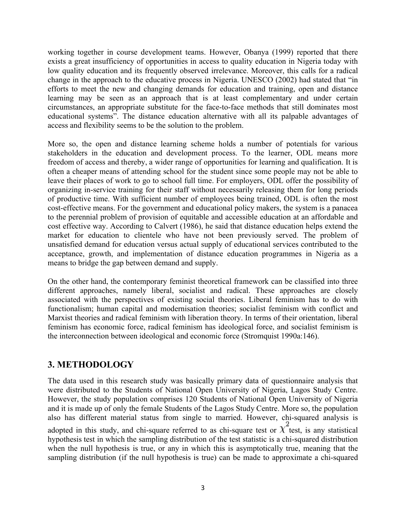working together in course development teams. However, Obanya (1999) reported that there exists a great insufficiency of opportunities in access to quality education in Nigeria today with low quality education and its frequently observed irrelevance. Moreover, this calls for a radical change in the approach to the educative process in Nigeria. UNESCO (2002) had stated that "in efforts to meet the new and changing demands for education and training, open and distance learning may be seen as an approach that is at least complementary and under certain circumstances, an appropriate substitute for the face-to-face methods that still dominates most educational systems". The distance education alternative with all its palpable advantages of access and flexibility seems to be the solution to the problem.

More so, the open and distance learning scheme holds a number of potentials for various stakeholders in the education and development process. To the learner, ODL means more freedom of access and thereby, a wider range of opportunities for learning and qualification. It is often a cheaper means of attending school for the student since some people may not be able to leave their places of work to go to school full time. For employers, ODL offer the possibility of organizing in-service training for their staff without necessarily releasing them for long periods of productive time. With sufficient number of employees being trained, ODL is often the most cost-effective means. For the government and educational policy makers, the system is a panacea to the perennial problem of provision of equitable and accessible education at an affordable and cost effective way. According to Calvert (1986), he said that distance education helps extend the market for education to clientele who have not been previously served. The problem of unsatisfied demand for education versus actual supply of educational services contributed to the acceptance, growth, and implementation of distance education programmes in Nigeria as a means to bridge the gap between demand and supply.

On the other hand, the contemporary feminist theoretical framework can be classified into three different approaches, namely liberal, socialist and radical. These approaches are closely associated with the perspectives of existing social theories. Liberal feminism has to do with functionalism; human capital and modernisation theories; socialist feminism with conflict and Marxist theories and radical feminism with liberation theory. In terms of their orientation, liberal feminism has economic force, radical feminism has ideological force, and socialist feminism is the interconnection between ideological and economic force (Stromquist 1990a:146).

# **3. METHODOLOGY**

The data used in this research study was basically primary data of questionnaire analysis that were distributed to the Students of National Open University of Nigeria, Lagos Study Centre. However, the study population comprises 120 Students of National Open University of Nigeria and it is made up of only the female Students of the Lagos Study Centre. More so, the population also has different material status from single to married. However, chi-squared analysis is adopted in this study, and chi-square referred to as chi-square test or  $\chi^2$  test, is any [statistical](http://en.wikipedia.org/wiki/Statistical) [hypothesis test](http://en.wikipedia.org/wiki/Hypothesis_test) in which the [sampling distribution](http://en.wikipedia.org/wiki/Sampling_distribution) of the test statistic is a [chi-squared distribution](http://en.wikipedia.org/wiki/Chi-squared_distribution) when the [null hypothesis](http://en.wikipedia.org/wiki/Null_hypothesis) is true, or any in which this is asymptotically true, meaning that the sampling distribution (if the null hypothesis is true) can be made to approximate a chi-squared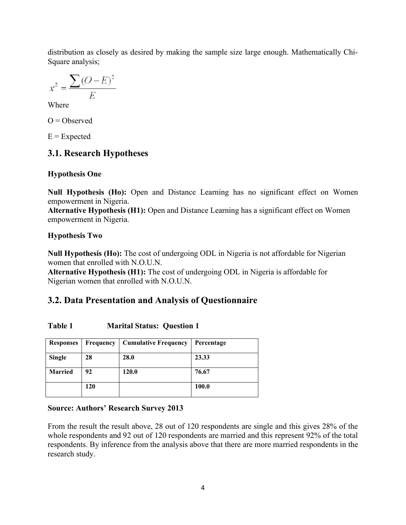distribution as closely as desired by making the sample size large enough. Mathematically Chi-Square analysis;

$$
x^2 = \frac{\sum (O - E)^2}{E}
$$

Where

 $O = Observed$ 

 $E =$ Expected

# **3.1. Research Hypotheses**

## **Hypothesis One**

**Null Hypothesis (Ho):** Open and Distance Learning has no significant effect on Women empowerment in Nigeria.

**Alternative Hypothesis (H1):** Open and Distance Learning has a significant effect on Women empowerment in Nigeria.

## **Hypothesis Two**

**Null Hypothesis (Ho):** The cost of undergoing ODL in Nigeria is not affordable for Nigerian women that enrolled with N.O.U.N.

**Alternative Hypothesis (H1):** The cost of undergoing ODL in Nigeria is affordable for Nigerian women that enrolled with N.O.U.N.

# **3.2. Data Presentation and Analysis of Questionnaire**

| <b>Responses</b> | Frequency | <b>Cumulative Frequency</b> | Percentage |
|------------------|-----------|-----------------------------|------------|
| Single           | 28        | 28.0                        | 23.33      |
| <b>Married</b>   | 92        | 120.0                       | 76.67      |
|                  | 120       |                             | 100.0      |

| Table 1<br><b>Marital Status: Question 1</b> |  |
|----------------------------------------------|--|
|----------------------------------------------|--|

### **Source: Authors' Research Survey 2013**

From the result the result above, 28 out of 120 respondents are single and this gives 28% of the whole respondents and 92 out of 120 respondents are married and this represent 92% of the total respondents. By inference from the analysis above that there are more married respondents in the research study.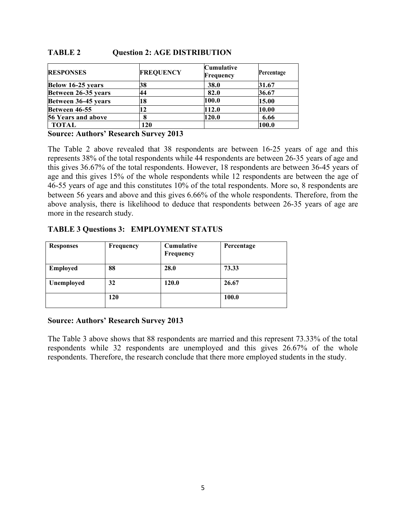| <b>RESPONSES</b>    | <b>FREQUENCY</b> | <b>Cumulative</b><br>Frequency | Percentage |
|---------------------|------------------|--------------------------------|------------|
| Below 16-25 years   | 38               | <b>38.0</b>                    | 31.67      |
| Between 26-35 years | 44               | 82.0                           | 36.67      |
| Between 36-45 years | 18               | 100.0                          | 15.00      |
| Between 46-55       | 12               | 112.0                          | 10.00      |
| 56 Years and above  | 8                | 120.0                          | 6.66       |
| TOTAL               | 120              |                                | 100.0      |

#### **TABLE 2 Question 2: AGE DISTRIBUTION**

**Source: Authors' Research Survey 2013**

The Table 2 above revealed that 38 respondents are between 16-25 years of age and this represents 38% of the total respondents while 44 respondents are between 26-35 years of age and this gives 36.67% of the total respondents. However, 18 respondents are between 36-45 years of age and this gives 15% of the whole respondents while 12 respondents are between the age of 46-55 years of age and this constitutes 10% of the total respondents. More so, 8 respondents are between 56 years and above and this gives 6.66% of the whole respondents. Therefore, from the above analysis, there is likelihood to deduce that respondents between 26-35 years of age are more in the research study.

### **TABLE 3 Questions 3: EMPLOYMENT STATUS**

| <b>Responses</b> | <b>Frequency</b> | <b>Cumulative</b><br>Frequency | Percentage |
|------------------|------------------|--------------------------------|------------|
| <b>Employed</b>  | 88               | 28.0                           | 73.33      |
| Unemployed       | 32               | 120.0                          | 26.67      |
|                  | 120              |                                | 100.0      |

#### **Source: Authors' Research Survey 2013**

The Table 3 above shows that 88 respondents are married and this represent 73.33% of the total respondents while 32 respondents are unemployed and this gives 26.67% of the whole respondents. Therefore, the research conclude that there more employed students in the study.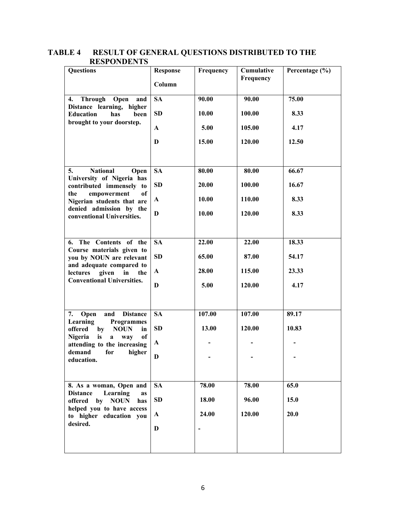| Questions                                                                        | <b>Response</b><br>Column | Frequency | Cumulative<br>Frequency | Percentage (%) |
|----------------------------------------------------------------------------------|---------------------------|-----------|-------------------------|----------------|
| <b>Through</b><br>Open<br>and<br>4.                                              | <b>SA</b>                 | 90.00     | 90.00                   | 75.00          |
| Distance learning, higher<br><b>Education</b><br>been<br>has                     | <b>SD</b>                 | 10.00     | 100.00                  | 8.33           |
| brought to your doorstep.                                                        | A                         | 5.00      | 105.00                  | 4.17           |
|                                                                                  | D                         | 15.00     | 120.00                  | 12.50          |
|                                                                                  |                           |           |                         |                |
| <b>National</b><br>5.<br>Open<br>University of Nigeria has                       | <b>SA</b>                 | 80.00     | 80.00                   | 66.67          |
| contributed immensely to                                                         | <b>SD</b>                 | 20.00     | 100.00                  | 16.67          |
| empowerment<br>of<br>the<br>Nigerian students that are                           | A                         | 10.00     | 110.00                  | 8.33           |
| denied admission by the<br>conventional Universities.                            | D                         | 10.00     | 120.00                  | 8.33           |
|                                                                                  |                           |           |                         |                |
| 6. The Contents of the<br>Course materials given to                              | <b>SA</b>                 | 22.00     | 22.00                   | 18.33          |
| you by NOUN are relevant                                                         | <b>SD</b>                 | 65.00     | 87.00                   | 54.17          |
| and adequate compared to<br>given<br>lectures<br>in<br>the                       | $\mathbf A$               | 28.00     | 115.00                  | 23.33          |
| <b>Conventional Universities.</b>                                                | D                         | 5.00      | 120.00                  | 4.17           |
|                                                                                  |                           |           |                         |                |
| <b>Distance</b><br>7.<br>and<br>Open<br>Learning<br><b>Programmes</b>            | <b>SA</b>                 | 107.00    | 107.00                  | 89.17          |
| <b>NOUN</b><br>offered<br>by<br>in                                               | <b>SD</b>                 | 13.00     | 120.00                  | 10.83          |
| <sub>of</sub><br>Nigeria<br>is<br>way<br>$\bf{a}$<br>attending to the increasing | $\mathbf A$               |           |                         |                |
| demand<br>for<br>higher<br>education.                                            | D                         |           |                         |                |
|                                                                                  |                           |           |                         |                |
| 8. As a woman, Open and<br>Learning<br><b>Distance</b><br><b>as</b>              | <b>SA</b>                 | 78.00     | 78.00                   | 65.0           |
| offered<br>by<br><b>NOUN</b><br>has                                              | <b>SD</b>                 | 18.00     | 96.00                   | 15.0           |
| helped you to have access<br>to higher education you                             | A                         | 24.00     | 120.00                  | 20.0           |
| desired.                                                                         | D                         |           |                         |                |
|                                                                                  |                           |           |                         |                |

**TABLE 4 RESULT OF GENERAL QUESTIONS DISTRIBUTED TO THE RESPONDENTS**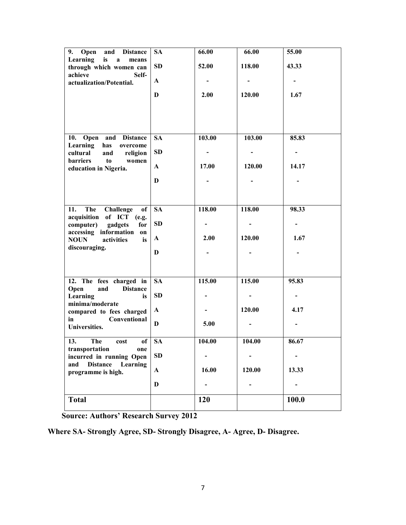| 9. Open<br><b>Distance</b><br>and<br>Learning<br>is           | <b>SA</b>    | 66.00                    | 66.00  | 55.00 |
|---------------------------------------------------------------|--------------|--------------------------|--------|-------|
| $\mathbf{a}$<br>means<br>through which women can              | SD           | 52.00                    | 118.00 | 43.33 |
| achieve<br>Self-<br>actualization/Potential.                  | $\mathbf{A}$ | $\overline{\phantom{0}}$ |        |       |
|                                                               | D            | 2.00                     | 120.00 | 1.67  |
|                                                               |              |                          |        |       |
|                                                               |              |                          |        |       |
| 10. Open and Distance<br>Learning<br>has<br>overcome          | <b>SA</b>    | 103.00                   | 103.00 | 85.83 |
| cultural<br>and<br>religion<br><b>barriers</b><br>to<br>women | SD           | -                        |        |       |
| education in Nigeria.                                         | $\mathbf{A}$ | 17.00                    | 120.00 | 14.17 |
|                                                               | D            |                          |        |       |
|                                                               |              |                          |        |       |
| The Challenge<br>of<br>11.<br>acquisition of ICT (e.g.        | <b>SA</b>    | 118.00                   | 118.00 | 98.33 |
| computer) gadgets<br>for<br>accessing information on          | SD           | -                        |        |       |
| activities<br><b>NOUN</b><br>is                               | $\mathbf{A}$ | 2.00                     | 120.00 | 1.67  |
| discouraging.                                                 | D            |                          |        |       |
|                                                               |              |                          |        |       |
| 12. The fees charged in<br>Open<br>and<br><b>Distance</b>     | <b>SA</b>    | 115.00                   | 115.00 | 95.83 |
| Learning<br>is<br>minima/moderate                             | SD           |                          |        |       |
| compared to fees charged<br>Conventional<br>in                | $\mathbf{A}$ |                          | 120.00 | 4.17  |
| Universities.                                                 | $\mathbf{D}$ | 5.00                     |        |       |
| 0f<br>13.<br>The<br>cost                                      | <b>SA</b>    | 104.00                   | 104.00 | 86.67 |
| transportation<br>one<br>incurred in running Open             | SD           |                          |        |       |
| <b>Distance</b><br>Learning<br>and<br>programme is high.      | $\mathbf A$  | 16.00                    | 120.00 | 13.33 |
|                                                               | D            |                          |        |       |
| <b>Total</b>                                                  |              | 120                      |        | 100.0 |

**Source: Authors' Research Survey 2012**

**Where SA- Strongly Agree, SD- Strongly Disagree, A- Agree, D- Disagree.**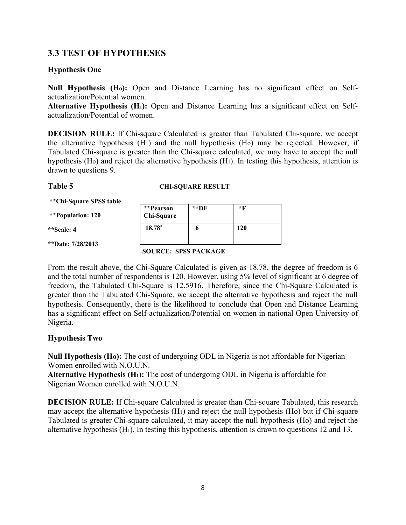## **3.3 TEST OF HYPOTHESES**

#### **Hypothesis One**

**Null Hypothesis (Ho):** Open and Distance Learning has no significant effect on Selfactualization/Potential women.

**Alternative Hypothesis (H1):** Open and Distance Learning has a significant effect on Selfactualization/Potential of women.

**DECISION RULE:** If Chi-square Calculated is greater than Tabulated Chi-square, we accept the alternative hypothesis (H1) and the null hypothesis (Ho) may be rejected. However, if Tabulated Chi-square is greater than the Chi-square calculated, we may have to accept the null hypothesis (Ho) and reject the alternative hypothesis (H1). In testing this hypothesis, attention is drawn to questions 9.

#### **Table 5 CHI-SQUARE RESULT**

**\*\*Chi-Square SPSS table**

**\*\*Population: 120**

**\*\*Scale: 4**

**\*\*Date: 7/28/2013**

| **Pearson<br>Chi-Square | **DF | *F  |
|-------------------------|------|-----|
| $18.78^{\rm a}$         | o    | 120 |

#### **SOURCE: SPSS PACKAGE**

From the result above, the Chi-Square Calculated is given as 18.78, the degree of freedom is 6 and the total number of respondents is 120. However, using 5% level of significant at 6 degree of freedom, the Tabulated Chi-Square is 12.5916. Therefore, since the Chi-Square Calculated is greater than the Tabulated Chi-Square, we accept the alternative hypothesis and reject the null hypothesis. Consequently, there is the likelihood to conclude that Open and Distance Learning has a significant effect on Self-actualization/Potential on women in national Open University of Nigeria.

### **Hypothesis Two**

**Null Hypothesis (Ho):** The cost of undergoing ODL in Nigeria is not affordable for Nigerian Women enrolled with N.O.U.N.

**Alternative Hypothesis (H1):** The cost of undergoing ODL in Nigeria is affordable for Nigerian Women enrolled with N.O.U.N.

**DECISION RULE:** If Chi-square Calculated is greater than Chi-square Tabulated, this research may accept the alternative hypothesis (H1) and reject the null hypothesis (Ho) but if Chi-square Tabulated is greater Chi-square calculated, it may accept the null hypothesis (Ho) and reject the alternative hypothesis (H1). In testing this hypothesis, attention is drawn to questions 12 and 13.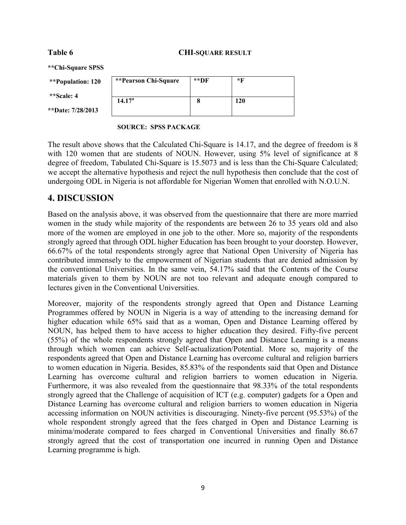#### Table 6 CHI-SQUARE RESULT

**\*\*Chi-Square SPSS** 

**\*\*Population: 120**

**\*\*Scale: 4**

\*\*Date: 7/2

| on: 120 | <i>**Pearson Chi-Square</i> | **DF | $*$ F |
|---------|-----------------------------|------|-------|
|         | 14.17 <sup>a</sup>          |      | 120   |
| 8/2013  |                             |      |       |

#### **SOURCE: SPSS PACKAGE**

The result above shows that the Calculated Chi-Square is 14.17, and the degree of freedom is 8 with 120 women that are students of NOUN. However, using 5% level of significance at 8 degree of freedom, Tabulated Chi-Square is 15.5073 and is less than the Chi-Square Calculated; we accept the alternative hypothesis and reject the null hypothesis then conclude that the cost of undergoing ODL in Nigeria is not affordable for Nigerian Women that enrolled with N.O.U.N.

# **4. DISCUSSION**

Based on the analysis above, it was observed from the questionnaire that there are more married women in the study while majority of the respondents are between 26 to 35 years old and also more of the women are employed in one job to the other. More so, majority of the respondents strongly agreed that through ODL higher Education has been brought to your doorstep. However, 66.67% of the total respondents strongly agree that National Open University of Nigeria has contributed immensely to the empowerment of Nigerian students that are denied admission by the conventional Universities. In the same vein, 54.17% said that the Contents of the Course materials given to them by NOUN are not too relevant and adequate enough compared to lectures given in the Conventional Universities.

Moreover, majority of the respondents strongly agreed that Open and Distance Learning Programmes offered by NOUN in Nigeria is a way of attending to the increasing demand for higher education while 65% said that as a woman, Open and Distance Learning offered by NOUN, has helped them to have access to higher education they desired. Fifty-five percent (55%) of the whole respondents strongly agreed that Open and Distance Learning is a means through which women can achieve Self-actualization/Potential. More so, majority of the respondents agreed that Open and Distance Learning has overcome cultural and religion barriers to women education in Nigeria. Besides, 85.83% of the respondents said that Open and Distance Learning has overcome cultural and religion barriers to women education in Nigeria. Furthermore, it was also revealed from the questionnaire that 98.33% of the total respondents strongly agreed that the Challenge of acquisition of ICT (e.g. computer) gadgets for a Open and Distance Learning has overcome cultural and religion barriers to women education in Nigeria accessing information on NOUN activities is discouraging. Ninety-five percent (95.53%) of the whole respondent strongly agreed that the fees charged in Open and Distance Learning is minima/moderate compared to fees charged in Conventional Universities and finally 86.67 strongly agreed that the cost of transportation one incurred in running Open and Distance Learning programme is high.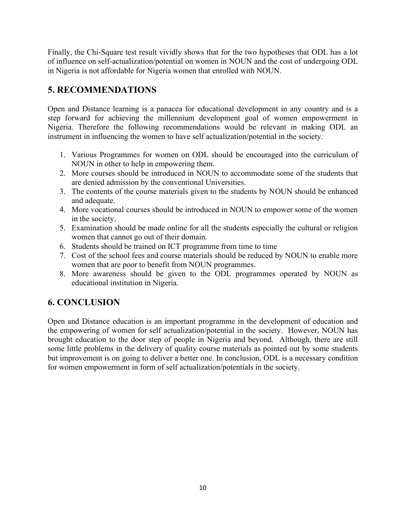Finally, the Chi-Square test result vividly shows that for the two hypotheses that ODL has a lot of influence on self-actualization/potential on women in NOUN and the cost of undergoing ODL in Nigeria is not affordable for Nigeria women that enrolled with NOUN.

# **5. RECOMMENDATIONS**

Open and Distance learning is a panacea for educational development in any country and is a step forward for achieving the millennium development goal of women empowerment in Nigeria. Therefore the following recommendations would be relevant in making ODL an instrument in influencing the women to have self actualization/potential in the society.

- 1. Various Programmes for women on ODL should be encouraged into the curriculum of NOUN in other to help in empowering them.
- 2. More courses should be introduced in NOUN to accommodate some of the students that are denied admission by the conventional Universities.
- 3. The contents of the course materials given to the students by NOUN should be enhanced and adequate.
- 4. More vocational courses should be introduced in NOUN to empower some of the women in the society.
- 5. Examination should be made online for all the students especially the cultural or religion women that cannot go out of their domain.
- 6. Students should be trained on ICT programme from time to time
- 7. Cost of the school fees and course materials should be reduced by NOUN to enable more women that are poor to benefit from NOUN programmes.
- 8. More awareness should be given to the ODL programmes operated by NOUN as educational institution in Nigeria.

# **6. CONCLUSION**

Open and Distance education is an important programme in the development of education and the empowering of women for self actualization/potential in the society. However, NOUN has brought education to the door step of people in Nigeria and beyond. Although, there are still some little problems in the delivery of quality course materials as pointed out by some students but improvement is on going to deliver a better one. In conclusion, ODL is a necessary condition for women empowerment in form of self actualization/potentials in the society.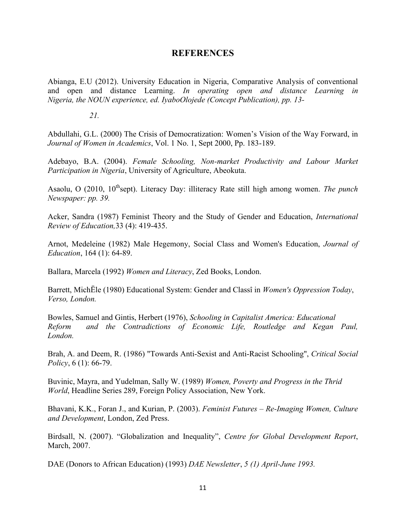### **REFERENCES**

Abianga, E.U (2012). University Education in Nigeria, Comparative Analysis of conventional and open and distance Learning. *In operating open and distance Learning in Nigeria, the NOUN experience, ed. IyaboOlojede (Concept Publication), pp. 13-*

*21.*

Abdullahi, G.L. (2000) The Crisis of Democratization: Women's Vision of the Way Forward, in *Journal of Women in Academics*, Vol. 1 No. 1, Sept 2000, Pp. 183-189.

Adebayo, B.A. (2004). *Female Schooling, Non-market Productivity and Labour Market Participation in Nigeria*, University of Agriculture, Abeokuta.

Asaolu, O (2010, 10<sup>th</sup>sept). Literacy Day: illiteracy Rate still high among women. *The punch Newspaper: pp. 39.*

Acker, Sandra (1987) Feminist Theory and the Study of Gender and Education, *International Review of Education,*33 (4): 419-435.

Arnot, Medeleine (1982) Male Hegemony, Social Class and Women's Education, *Journal of Education*, 164 (1): 64-89.

Ballara, Marcela (1992) *Women and Literacy*, Zed Books, London.

Barrett, MichËle (1980) Educational System: Gender and Classî in *Women's Oppression Today*, *Verso, London.*

Bowles, Samuel and Gintis, Herbert (1976), *Schooling in Capitalist America: Educational Reform and the Contradictions of Economic Life, Routledge and Kegan Paul, London.*

Brah, A. and Deem, R. (1986) "Towards Anti-Sexist and Anti-Racist Schooling", *Critical Social Policy*, 6 (1): 66-79.

Buvinic, Mayra, and Yudelman, Sally W. (1989) *Women, Poverty and Progress in the Thrid World*, Headline Series 289, Foreign Policy Association, New York.

Bhavani, K.K., Foran J., and Kurian, P. (2003). *Feminist Futures – Re-Imaging Women, Culture and Development*, London, Zed Press.

Birdsall, N. (2007). "Globalization and Inequality", *Centre for Global Development Report*, March, 2007.

DAE (Donors to African Education) (1993) *DAE Newsletter*, *5 (1) April-June 1993.*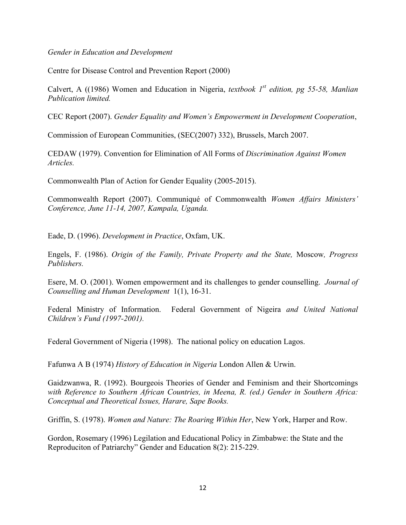*Gender in Education and Development*

Centre for Disease Control and Prevention Report (2000)

Calvert, A ((1986) Women and Education in Nigeria, *textbook 1st edition, pg 55-58, Manlian Publication limited.*

CEC Report (2007). *Gender Equality and Women's Empowerment in Development Cooperation*,

Commission of European Communities, (SEC(2007) 332), Brussels, March 2007.

CEDAW (1979). Convention for Elimination of All Forms of *Discrimination Against Women Articles.*

Commonwealth Plan of Action for Gender Equality (2005-2015).

Commonwealth Report (2007). Communiqué of Commonwealth *Women Affairs Ministers' Conference, June 11-14, 2007, Kampala, Uganda.* 

Eade, D. (1996). *Development in Practice*, Oxfam, UK.

Engels, F. (1986). *Origin of the Family, Private Property and the State,* Moscow*, Progress Publishers.*

Esere, M. O. (2001). Women empowerment and its challenges to gender counselling. *Journal of Counselling and Human Development* 1(1), 16-31.

Federal Ministry of Information. Federal Government of Nigeira *and United National Children's Fund (1997-2001).*

Federal Government of Nigeria (1998). The national policy on education Lagos.

Fafunwa A B (1974) *History of Education in Nigeria* London Allen & Urwin.

Gaidzwanwa, R. (1992). Bourgeois Theories of Gender and Feminism and their Shortcomings *with Reference to Southern African Countries, in Meena, R. (ed.) Gender in Southern Africa: Conceptual and Theoretical Issues, Harare, Sape Books.*

Griffin, S. (1978). *Women and Nature: The Roaring Within Her*, New York, Harper and Row.

Gordon, Rosemary (1996) Legilation and Educational Policy in Zimbabwe: the State and the Reproduciton of Patriarchy" Gender and Education 8(2): 215-229.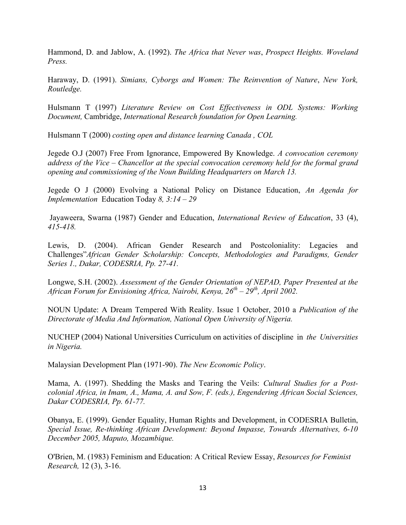Hammond, D. and Jablow, A. (1992). *The Africa that Never was*, *Prospect Heights. Woveland Press.*

Haraway, D. (1991). *Simians, Cyborgs and Women: The Reinvention of Nature*, *New York, Routledge.*

Hulsmann T (1997) *Literature Review on Cost Effectiveness in ODL Systems: Working Document,* Cambridge, *International Research foundation for Open Learning.* 

Hulsmann T (2000) *costing open and distance learning Canada , COL*

Jegede O.J (2007) Free From Ignorance, Empowered By Knowledge. *A convocation ceremony address of the Vice – Chancellor at the special convocation ceremony held for the formal grand opening and commissioning of the Noun Building Headquarters on March 13.*

Jegede O J (2000) Evolving a National Policy on Distance Education, *An Agenda for Implementation* Education Today *8, 3:14 – 29*

Jayaweera, Swarna (1987) Gender and Education, *International Review of Education*, 33 (4), *415-418.*

Lewis, D. (2004). African Gender Research and Postcoloniality: Legacies and Challenges"*African Gender Scholarship: Concepts, Methodologies and Paradigms, Gender Series 1., Dakar, CODESRIA, Pp. 27-41.*

Longwe, S.H. (2002). *Assessment of the Gender Orientation of NEPAD, Paper Presented at the African Forum for Envisioning Africa, Nairobi, Kenya, 26th – 29th, April 2002.*

NOUN Update: A Dream Tempered With Reality. Issue 1 October, 2010 a *Publication of the Directorate of Media And Information, National Open University of Nigeria.*

NUCHEP (2004) National Universities Curriculum on activities of discipline in *the Universities in Nigeria.*

Malaysian Development Plan (1971-90). *The New Economic Policy*.

Mama, A. (1997). Shedding the Masks and Tearing the Veils: *Cultural Studies for a Postcolonial Africa, in Imam, A., Mama, A. and Sow, F. (eds.), Engendering African Social Sciences, Dakar CODESRIA, Pp. 61-77.*

Obanya, E. (1999). Gender Equality, Human Rights and Development, in CODESRIA Bulletin, *Special Issue, Re-thinking African Development: Beyond Impasse, Towards Alternatives, 6-10 December 2005, Maputo, Mozambique.*

O'Brien, M. (1983) Feminism and Education: A Critical Review Essay, *Resources for Feminist Research,* 12 (3), 3-16.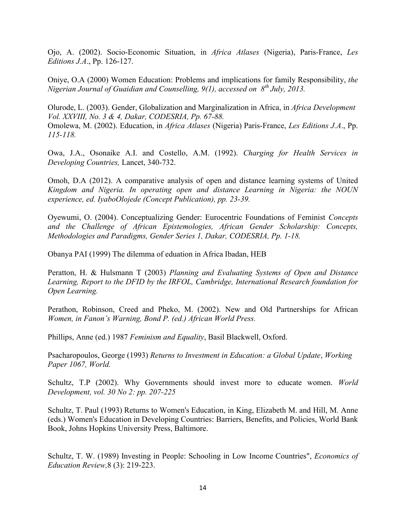Ojo, A. (2002). Socio-Economic Situation, in *Africa Atlases* (Nigeria), Paris-France, *Les Editions J.A*., Pp. 126-127.

Oniye, O.A (2000) Women Education: Problems and implications for family Responsibility, *the Nigerian Journal of Guaidian and Counselling, 9(1), accessed on 8th July, 2013.*

Olurode, L. (2003). Gender, Globalization and Marginalization in Africa, in *Africa Development Vol. XXVIII, No. 3 & 4, Dakar, CODESRIA, Pp. 67-88.*  Omolewa, M. (2002). Education, in *Africa Atlases* (Nigeria) Paris-France, *Les Editions J.A*., Pp. *115-118.*

Owa, J.A., Osonaike A.I. and Costello, A.M. (1992). *Charging for Health Services in Developing Countries,* Lancet, 340-732.

Omoh, D.A (2012). A comparative analysis of open and distance learning systems of United *Kingdom and Nigeria. In operating open and distance Learning in Nigeria: the NOUN experience, ed. IyaboOlojede (Concept Publication), pp. 23-39.*

Oyewumi, O. (2004). Conceptualizing Gender: Eurocentric Foundations of Feminist *Concepts and the Challenge of African Epistemologies, African Gender Scholarship: Concepts, Methodologies and Paradigms, Gender Series 1, Dakar, CODESRIA, Pp. 1-18.*

Obanya PAI (1999) The dilemma of eduation in Africa Ibadan, HEB

Peratton, H. & Hulsmann T (2003) *Planning and Evaluating Systems of Open and Distance Learning, Report to the DFID by the IRFOL, Cambridge, International Research foundation for Open Learning.* 

Perathon, Robinson, Creed and Pheko, M. (2002). New and Old Partnerships for African *Women, in Fanon's Warning, Bond P. (ed.) African World Press.*

Phillips, Anne (ed.) 1987 *Feminism and Equality*, Basil Blackwell, Oxford.

Psacharopoulos, George (1993) *Returns to Investment in Education: a Global Update*, *Working Paper 1067, World.*

Schultz, T.P (2002). Why Governments should invest more to educate women. *World Development, vol. 30 No 2: pp. 207-225*

Schultz, T. Paul (1993) Returns to Women's Education, in King, Elizabeth M. and Hill, M. Anne (eds.) Women's Education in Developing Countries: Barriers, Benefits, and Policies, World Bank Book, Johns Hopkins University Press, Baltimore.

Schultz, T. W. (1989) Investing in People: Schooling in Low Income Countries", *Economics of Education Review,*8 (3): 219-223.